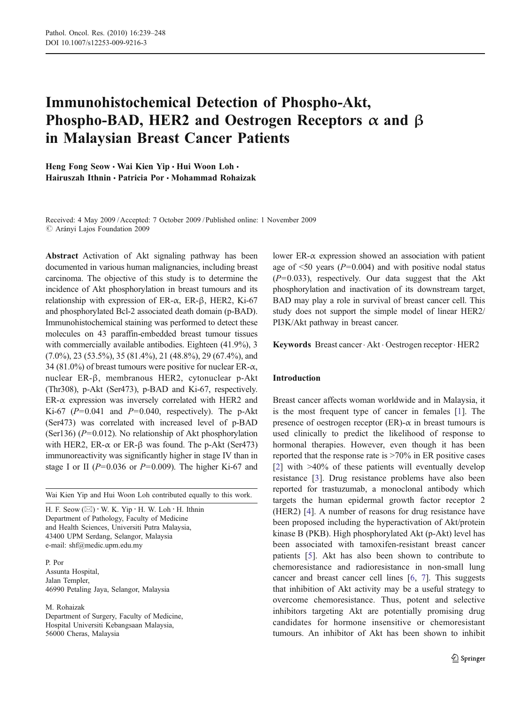# Immunohistochemical Detection of Phospho-Akt, Phospho-BAD, HER2 and Oestrogen Receptors  $\alpha$  and  $\beta$ in Malaysian Breast Cancer Patients

Heng Fong Seow • Wai Kien Yip • Hui Woon Loh • Hairuszah Ithnin & Patricia Por & Mohammad Rohaizak

Received: 4 May 2009 /Accepted: 7 October 2009 / Published online: 1 November 2009  $\oslash$  Arányi Lajos Foundation 2009

Abstract Activation of Akt signaling pathway has been documented in various human malignancies, including breast carcinoma. The objective of this study is to determine the incidence of Akt phosphorylation in breast tumours and its relationship with expression of ER- $\alpha$ , ER- $\beta$ , HER2, Ki-67 and phosphorylated Bcl-2 associated death domain (p-BAD). Immunohistochemical staining was performed to detect these molecules on 43 paraffin-embedded breast tumour tissues with commercially available antibodies. Eighteen (41.9%), 3  $(7.0\%)$ ,  $23$   $(53.5\%)$ ,  $35$   $(81.4\%)$ ,  $21$   $(48.8\%)$ ,  $29$   $(67.4\%)$ , and 34 (81.0%) of breast tumours were positive for nuclear ER- $\alpha$ , nuclear ER-β, membranous HER2, cytonuclear p-Akt (Thr308), p-Akt (Ser473), p-BAD and Ki-67, respectively.  $ER-\alpha$  expression was inversely correlated with HER2 and Ki-67 ( $P=0.041$  and  $P=0.040$ , respectively). The p-Akt (Ser473) was correlated with increased level of p-BAD (Ser136) ( $P=0.012$ ). No relationship of Akt phosphorylation with HER2, ER- $\alpha$  or ER- $\beta$  was found. The p-Akt (Ser473) immunoreactivity was significantly higher in stage IV than in stage I or II ( $P=0.036$  or  $P=0.009$ ). The higher Ki-67 and

Wai Kien Yip and Hui Woon Loh contributed equally to this work.

H. F. Seow  $(\boxtimes) \cdot W$ . K. Yip  $\cdot$  H. W. Loh  $\cdot$  H. Ithnin Department of Pathology, Faculty of Medicine and Health Sciences, Universiti Putra Malaysia, 43400 UPM Serdang, Selangor, Malaysia e-mail: shf@medic.upm.edu.my

P. Por Assunta Hospital, Jalan Templer, 46990 Petaling Jaya, Selangor, Malaysia

M. Rohaizak

Department of Surgery, Faculty of Medicine, Hospital Universiti Kebangsaan Malaysia, 56000 Cheras, Malaysia

lower ER-α expression showed an association with patient age of  $\leq 50$  years ( $P = 0.004$ ) and with positive nodal status  $(P=0.033)$ , respectively. Our data suggest that the Akt phosphorylation and inactivation of its downstream target, BAD may play a role in survival of breast cancer cell. This study does not support the simple model of linear HER2/ PI3K/Akt pathway in breast cancer.

Keywords Breast cancer. Akt . Oestrogen receptor. HER2

# Introduction

Breast cancer affects woman worldwide and in Malaysia, it is the most frequent type of cancer in females [\[1](#page-8-0)]. The presence of oestrogen receptor (ER)- $\alpha$  in breast tumours is used clinically to predict the likelihood of response to hormonal therapies. However, even though it has been reported that the response rate is >70% in ER positive cases [\[2](#page-8-0)] with >40% of these patients will eventually develop resistance [\[3](#page-8-0)]. Drug resistance problems have also been reported for trastuzumab, a monoclonal antibody which targets the human epidermal growth factor receptor 2 (HER2) [\[4](#page-8-0)]. A number of reasons for drug resistance have been proposed including the hyperactivation of Akt/protein kinase B (PKB). High phosphorylated Akt (p-Akt) level has been associated with tamoxifen-resistant breast cancer patients [[5\]](#page-8-0). Akt has also been shown to contribute to chemoresistance and radioresistance in non-small lung cancer and breast cancer cell lines [\[6](#page-8-0), [7\]](#page-8-0). This suggests that inhibition of Akt activity may be a useful strategy to overcome chemoresistance. Thus, potent and selective inhibitors targeting Akt are potentially promising drug candidates for hormone insensitive or chemoresistant tumours. An inhibitor of Akt has been shown to inhibit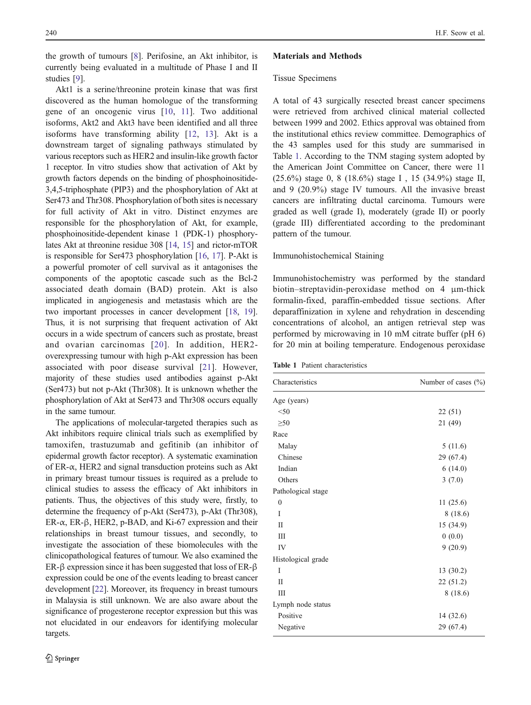<span id="page-1-0"></span>the growth of tumours [\[8](#page-8-0)]. Perifosine, an Akt inhibitor, is currently being evaluated in a multitude of Phase I and II studies [[9\]](#page-8-0).

Akt1 is a serine/threonine protein kinase that was first discovered as the human homologue of the transforming gene of an oncogenic virus [[10](#page-8-0), [11\]](#page-8-0). Two additional isoforms, Akt2 and Akt3 have been identified and all three isoforms have transforming ability [[12,](#page-8-0) [13\]](#page-8-0). Akt is a downstream target of signaling pathways stimulated by various receptors such as HER2 and insulin-like growth factor 1 receptor. In vitro studies show that activation of Akt by growth factors depends on the binding of phosphoinositide-3,4,5-triphosphate (PIP3) and the phosphorylation of Akt at Ser473 and Thr308. Phosphorylation of both sites is necessary for full activity of Akt in vitro. Distinct enzymes are responsible for the phosphorylation of Akt, for example, phosphoinositide-dependent kinase 1 (PDK-1) phosphorylates Akt at threonine residue 308 [\[14,](#page-8-0) [15](#page-8-0)] and rictor-mTOR is responsible for Ser473 phosphorylation [\[16](#page-8-0), [17\]](#page-8-0). P-Akt is a powerful promoter of cell survival as it antagonises the components of the apoptotic cascade such as the Bcl-2 associated death domain (BAD) protein. Akt is also implicated in angiogenesis and metastasis which are the two important processes in cancer development [\[18](#page-8-0), [19\]](#page-8-0). Thus, it is not surprising that frequent activation of Akt occurs in a wide spectrum of cancers such as prostate, breast and ovarian carcinomas [[20](#page-8-0)]. In addition, HER2 overexpressing tumour with high p-Akt expression has been associated with poor disease survival [\[21](#page-8-0)]. However, majority of these studies used antibodies against p-Akt (Ser473) but not p-Akt (Thr308). It is unknown whether the phosphorylation of Akt at Ser473 and Thr308 occurs equally in the same tumour.

The applications of molecular-targeted therapies such as Akt inhibitors require clinical trials such as exemplified by tamoxifen, trastuzumab and gefitinib (an inhibitor of epidermal growth factor receptor). A systematic examination of ER-α, HER2 and signal transduction proteins such as Akt in primary breast tumour tissues is required as a prelude to clinical studies to assess the efficacy of Akt inhibitors in patients. Thus, the objectives of this study were, firstly, to determine the frequency of p-Akt (Ser473), p-Akt (Thr308), ER-α, ER-β, HER2, p-BAD, and Ki-67 expression and their relationships in breast tumour tissues, and secondly, to investigate the association of these biomolecules with the clinicopathological features of tumour. We also examined the ER-β expression since it has been suggested that loss of ER-β expression could be one of the events leading to breast cancer development [\[22](#page-8-0)]. Moreover, its frequency in breast tumours in Malaysia is still unknown. We are also aware about the significance of progesterone receptor expression but this was not elucidated in our endeavors for identifying molecular targets.

### Materials and Methods

#### Tissue Specimens

A total of 43 surgically resected breast cancer specimens were retrieved from archived clinical material collected between 1999 and 2002. Ethics approval was obtained from the institutional ethics review committee. Demographics of the 43 samples used for this study are summarised in Table 1. According to the TNM staging system adopted by the American Joint Committee on Cancer, there were 11 (25.6%) stage 0, 8 (18.6%) stage I , 15 (34.9%) stage II, and 9 (20.9%) stage IV tumours. All the invasive breast cancers are infiltrating ductal carcinoma. Tumours were graded as well (grade I), moderately (grade II) or poorly (grade III) differentiated according to the predominant pattern of the tumour.

#### Immunohistochemical Staining

Immunohistochemistry was performed by the standard biotin–streptavidin-peroxidase method on 4 μm-thick formalin-fixed, paraffin-embedded tissue sections. After deparaffinization in xylene and rehydration in descending concentrations of alcohol, an antigen retrieval step was performed by microwaving in 10 mM citrate buffer (pH 6) for 20 min at boiling temperature. Endogenous peroxidase

| Characteristics    | Number of cases $(\% )$ |  |  |
|--------------------|-------------------------|--|--|
| Age (years)        |                         |  |  |
| < 50               | 22(51)                  |  |  |
| $\geq 50$          | 21 (49)                 |  |  |
| Race               |                         |  |  |
| Malay              | 5(11.6)                 |  |  |
| Chinese            | 29 (67.4)               |  |  |
| Indian             | 6(14.0)                 |  |  |
| Others             | 3(7.0)                  |  |  |
| Pathological stage |                         |  |  |
| $\mathbf{0}$       | 11(25.6)                |  |  |
| I                  | 8(18.6)                 |  |  |
| П                  | 15 (34.9)               |  |  |
| Ш                  | 0(0.0)                  |  |  |
| IV                 | 9(20.9)                 |  |  |
| Histological grade |                         |  |  |
| I                  | 13 (30.2)               |  |  |
| П                  | 22 (51.2)               |  |  |
| Ш                  | 8(18.6)                 |  |  |
| Lymph node status  |                         |  |  |
| Positive           | 14 (32.6)               |  |  |
| Negative           | 29 (67.4)               |  |  |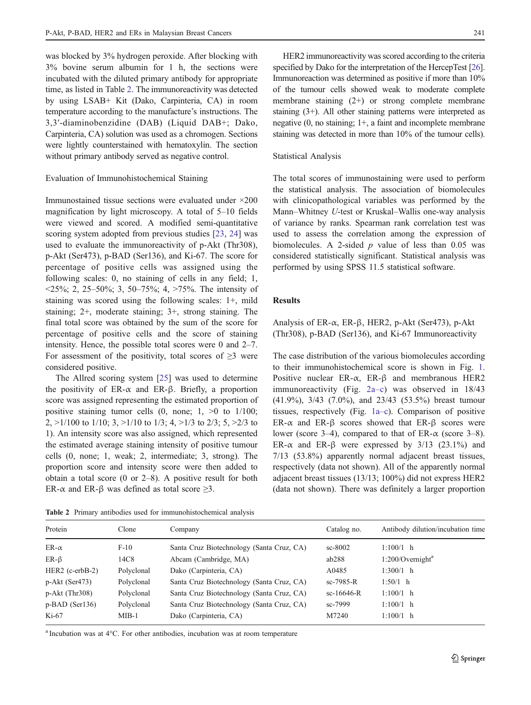was blocked by 3% hydrogen peroxide. After blocking with 3% bovine serum albumin for 1 h, the sections were incubated with the diluted primary antibody for appropriate time, as listed in Table 2. The immunoreactivity was detected by using LSAB+ Kit (Dako, Carpinteria, CA) in room temperature according to the manufacture's instructions. The 3,3′-diaminobenzidine (DAB) (Liquid DAB+; Dako, Carpinteria, CA) solution was used as a chromogen. Sections were lightly counterstained with hematoxylin. The section without primary antibody served as negative control.

## Evaluation of Immunohistochemical Staining

Immunostained tissue sections were evaluated under ×200 magnification by light microscopy. A total of 5–10 fields were viewed and scored. A modified semi-quantitative scoring system adopted from previous studies [[23,](#page-8-0) [24](#page-8-0)] was used to evaluate the immunoreactivity of p-Akt (Thr308), p-Akt (Ser473), p-BAD (Ser136), and Ki-67. The score for percentage of positive cells was assigned using the following scales: 0, no staining of cells in any field; 1,  $\langle 25\%, 2, 25-50\%; 3, 50-75\%; 4, \rangle 75\%$ . The intensity of staining was scored using the following scales: 1+, mild staining; 2+, moderate staining; 3+, strong staining. The final total score was obtained by the sum of the score for percentage of positive cells and the score of staining intensity. Hence, the possible total scores were 0 and 2–7. For assessment of the positivity, total scores of  $\geq 3$  were considered positive.

The Allred scoring system [[25\]](#page-8-0) was used to determine the positivity of ER- $\alpha$  and ER- $\beta$ . Briefly, a proportion score was assigned representing the estimated proportion of positive staining tumor cells  $(0, \text{none}; 1, >0 \text{ to } 1/100;$ 2,  $>1/100$  to  $1/10$ ; 3,  $>1/10$  to  $1/3$ ; 4,  $>1/3$  to  $2/3$ ; 5,  $>2/3$  to 1). An intensity score was also assigned, which represented the estimated average staining intensity of positive tumour cells (0, none; 1, weak; 2, intermediate; 3, strong). The proportion score and intensity score were then added to obtain a total score (0 or 2–8). A positive result for both ER- $\alpha$  and ER- $\beta$  was defined as total score  $\geq 3$ .

HER2 immunoreactivity was scored according to the criteria specified by Dako for the interpretation of the HercepTest [\[26\]](#page-8-0). Immunoreaction was determined as positive if more than 10% of the tumour cells showed weak to moderate complete membrane staining (2+) or strong complete membrane staining (3+). All other staining patterns were interpreted as negative (0, no staining; 1+, a faint and incomplete membrane staining was detected in more than 10% of the tumour cells).

## Statistical Analysis

The total scores of immunostaining were used to perform the statistical analysis. The association of biomolecules with clinicopathological variables was performed by the Mann–Whitney U-test or Kruskal–Wallis one-way analysis of variance by ranks. Spearman rank correlation test was used to assess the correlation among the expression of biomolecules. A 2-sided  $p$  value of less than 0.05 was considered statistically significant. Statistical analysis was performed by using SPSS 11.5 statistical software.

## Results

Analysis of ER- $\alpha$ , ER- $\beta$ , HER2, p-Akt (Ser473), p-Akt (Thr308), p-BAD (Ser136), and Ki-67 Immunoreactivity

The case distribution of the various biomolecules according to their immunohistochemical score is shown in Fig. [1.](#page-3-0) Positive nuclear ER-α, ER-β and membranous HER2 immunoreactivity (Fig. [2a](#page-3-0)–c) was observed in 18/43 (41.9%), 3/43 (7.0%), and 23/43 (53.5%) breast tumour tissues, respectively (Fig. [1a](#page-3-0)–c). Comparison of positive ER-α and ER-β scores showed that ER-β scores were lower (score 3–4), compared to that of ER- $\alpha$  (score 3–8). ER- $\alpha$  and ER- $\beta$  were expressed by 3/13 (23.1%) and 7/13 (53.8%) apparently normal adjacent breast tissues, respectively (data not shown). All of the apparently normal adjacent breast tissues (13/13; 100%) did not express HER2 (data not shown). There was definitely a larger proportion

Table 2 Primary antibodies used for immunohistochemical analysis

<sup>a</sup> Incubation was at 4°C. For other antibodies, incubation was at room temperature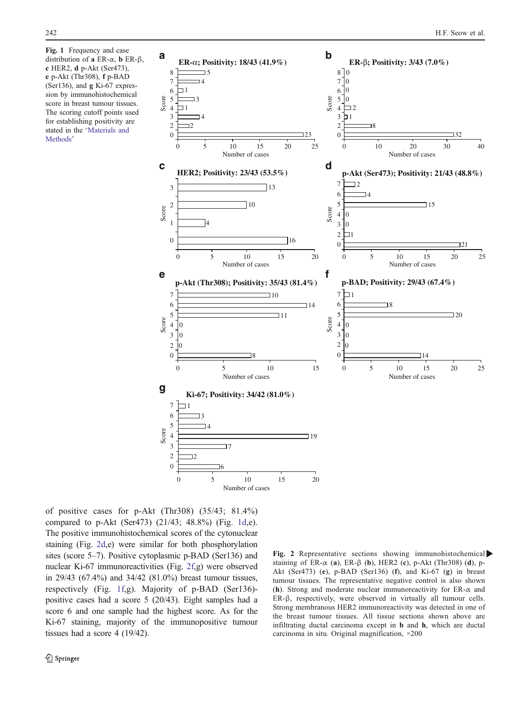c HER2, d p-Akt (Ser473), e p-Akt (Thr308), f p-BAD (Ser136), and g Ki-67 expression by immunohistochemical score in breast tumour tissues. The scoring cutoff points used for establishing positivity are stated in the '[Materials and](#page-1-0) [Methods](#page-1-0)'

<span id="page-3-0"></span>

of positive cases for p-Akt (Thr308) (35/43; 81.4%) compared to p-Akt (Ser473) (21/43; 48.8%) (Fig. 1d,e). The positive immunohistochemical scores of the cytonuclear staining (Fig. 2d,e) were similar for both phosphorylation sites (score 5–7). Positive cytoplasmic p-BAD (Ser136) and nuclear Ki-67 immunoreactivities (Fig. 2f,g) were observed in 29/43 (67.4%) and 34/42 (81.0%) breast tumour tissues, respectively (Fig. 1f,g). Majority of p-BAD (Ser136) positive cases had a score 5 (20/43). Eight samples had a score 6 and one sample had the highest score. As for the Ki-67 staining, majority of the immunopositive tumour tissues had a score 4 (19/42).

Fig. 2 Representative sections showing immunohistochemical staining of ER- $\alpha$  (a), ER- $\beta$  (b), HER2 (c), p-Akt (Thr308) (d), p-Akt (Ser473) (e), p-BAD (Ser136) (f), and Ki-67 (g) in breast tumour tissues. The representative negative control is also shown (h). Strong and moderate nuclear immunoreactivity for  $ER-\alpha$  and ER-β, respectively, were observed in virtually all tumour cells. Strong membranous HER2 immunoreactivity was detected in one of the breast tumour tissues. All tissue sections shown above are infiltrating ductal carcinoma except in b and h, which are ductal carcinoma in situ. Original magnification, ×200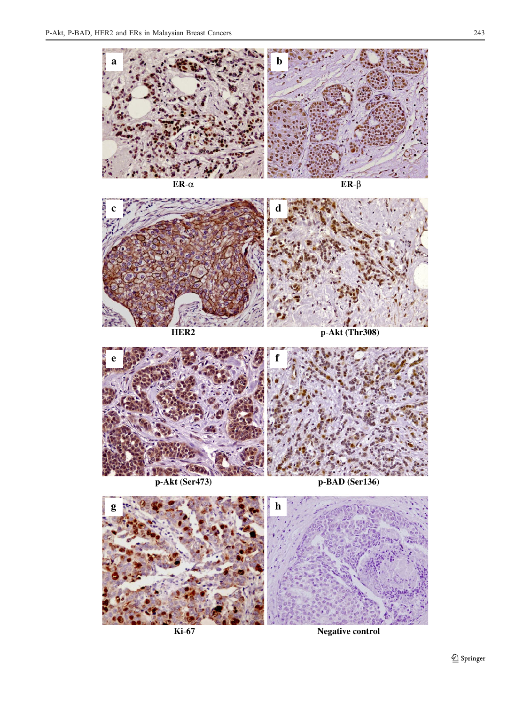











**Ki**-**67 Negative control**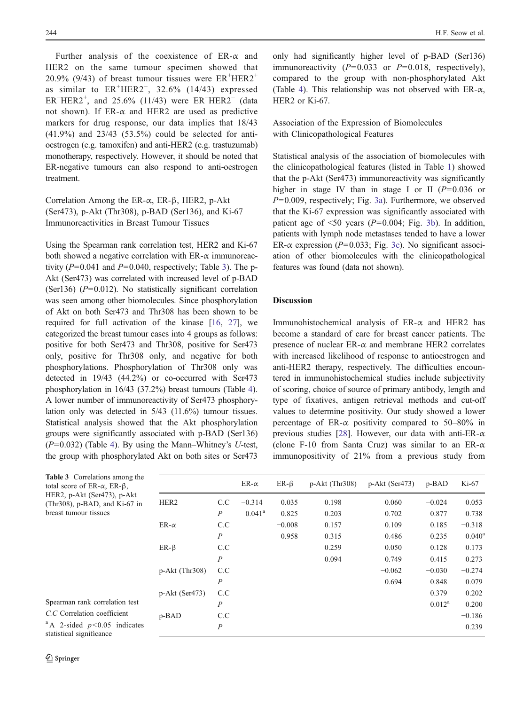Further analysis of the coexistence of  $ER-\alpha$  and HER2 on the same tumour specimen showed that 20.9% (9/43) of breast tumour tissues were  $ER^+HER2^+$ as similar to  $ER^+HER2^-$ , 32.6% (14/43) expressed ER<sup>-</sup>HER2<sup>+</sup>, and 25.6% (11/43) were ER<sup>-</sup>HER2<sup>-</sup> (data not shown). If  $ER-\alpha$  and  $HER2$  are used as predictive markers for drug response, our data implies that 18/43 (41.9%) and 23/43 (53.5%) could be selected for antioestrogen (e.g. tamoxifen) and anti-HER2 (e.g. trastuzumab) monotherapy, respectively. However, it should be noted that ER-negative tumours can also respond to anti-oestrogen treatment.

Correlation Among the ER-α, ER-β, HER2, p-Akt (Ser473), p-Akt (Thr308), p-BAD (Ser136), and Ki-67 Immunoreactivities in Breast Tumour Tissues

Using the Spearman rank correlation test, HER2 and Ki-67 both showed a negative correlation with  $ER-\alpha$  immunoreactivity ( $P=0.041$  and  $P=0.040$ , respectively; Table 3). The p-Akt (Ser473) was correlated with increased level of p-BAD (Ser136)  $(P=0.012)$ . No statistically significant correlation was seen among other biomolecules. Since phosphorylation of Akt on both Ser473 and Thr308 has been shown to be required for full activation of the kinase [\[16](#page-8-0), [27\]](#page-8-0), we categorized the breast tumour cases into 4 groups as follows: positive for both Ser473 and Thr308, positive for Ser473 only, positive for Thr308 only, and negative for both phosphorylations. Phosphorylation of Thr308 only was detected in 19/43 (44.2%) or co-occurred with Ser473 phosphorylation in 16/43 (37.2%) breast tumours (Table [4\)](#page-6-0). A lower number of immunoreactivity of Ser473 phosphorylation only was detected in 5/43 (11.6%) tumour tissues. Statistical analysis showed that the Akt phosphorylation groups were significantly associated with p-BAD (Ser136)  $(P=0.032)$  (Table [4](#page-6-0)). By using the Mann–Whitney's U-test, the group with phosphorylated Akt on both sites or Ser473

244 **H.F.** Seow et al.

only had significantly higher level of p-BAD (Ser136) immunoreactivity  $(P=0.033$  or  $P=0.018$ , respectively), compared to the group with non-phosphorylated Akt (Table [4](#page-6-0)). This relationship was not observed with  $ER-\alpha$ , HER2 or Ki-67.

Association of the Expression of Biomolecules with Clinicopathological Features

Statistical analysis of the association of biomolecules with the clinicopathological features (listed in Table [1\)](#page-1-0) showed that the p-Akt (Ser473) immunoreactivity was significantly higher in stage IV than in stage I or II  $(P=0.036$  or  $P=0.009$ , respectively; Fig. [3a](#page-6-0)). Furthermore, we observed that the Ki-67 expression was significantly associated with patient age of  $\leq 50$  years ( $P=0.004$ ; Fig. [3b](#page-6-0)). In addition, patients with lymph node metastases tended to have a lower ER- $\alpha$  expression (P=0.033; Fig. [3c](#page-6-0)). No significant association of other biomolecules with the clinicopathological features was found (data not shown).

# Discussion

Immunohistochemical analysis of ER-α and HER2 has become a standard of care for breast cancer patients. The presence of nuclear ER-α and membrane HER2 correlates with increased likelihood of response to antioestrogen and anti-HER2 therapy, respectively. The difficulties encountered in immunohistochemical studies include subjectivity of scoring, choice of source of primary antibody, length and type of fixatives, antigen retrieval methods and cut-off values to determine positivity. Our study showed a lower percentage of ER- $\alpha$  positivity compared to 50–80% in previous studies [[28\]](#page-8-0). However, our data with anti-ER- $\alpha$ (clone F-10 from Santa Cruz) was similar to an ER- $\alpha$ immunopositivity of 21% from a previous study from

|                  |                  | ER- $\alpha$    | $ER-\beta$ | $p-Akt$ (Thr308) | $p-Akt$ (Ser473) | $p-BAD$   | $Ki-67$         |
|------------------|------------------|-----------------|------------|------------------|------------------|-----------|-----------------|
| HER <sub>2</sub> | C.C              | $-0.314$        | 0.035      | 0.198            | 0.060            | $-0.024$  | 0.053           |
|                  | $\boldsymbol{P}$ | $0.041^{\rm a}$ | 0.825      | 0.203            | 0.702            | 0.877     | 0.738           |
| $ER-\alpha$      | C.C              |                 | $-0.008$   | 0.157            | 0.109            | 0.185     | $-0.318$        |
|                  | $\overline{P}$   |                 | 0.958      | 0.315            | 0.486            | 0.235     | $0.040^{\rm a}$ |
| $ER-\beta$       | C.C              |                 |            | 0.259            | 0.050            | 0.128     | 0.173           |
|                  | $\overline{P}$   |                 |            | 0.094            | 0.749            | 0.415     | 0.273           |
| $p-Akt$ (Thr308) | C.C              |                 |            |                  | $-0.062$         | $-0.030$  | $-0.274$        |
|                  | $\overline{P}$   |                 |            |                  | 0.694            | 0.848     | 0.079           |
| $p-Akt$ (Ser473) | C.C              |                 |            |                  |                  | 0.379     | 0.202           |
|                  | $\overline{P}$   |                 |            |                  |                  | $0.012^a$ | 0.200           |
| $p-BAD$          | C.C              |                 |            |                  |                  |           | $-0.186$        |
|                  | $\boldsymbol{P}$ |                 |            |                  |                  |           | 0.239           |
|                  |                  |                 |            |                  |                  |           |                 |

Table 3 Correlations among the total score of ER-α, ER-β, HER2, p-Akt (Ser473), p-Akt (Thr308), p-BAD, and Ki-67 in breast tumour tissues

Spearman rank correlation test C.C Correlation coefficient  $^{\text{a}}$  A 2-sided  $p<0.05$  indicates statistical significance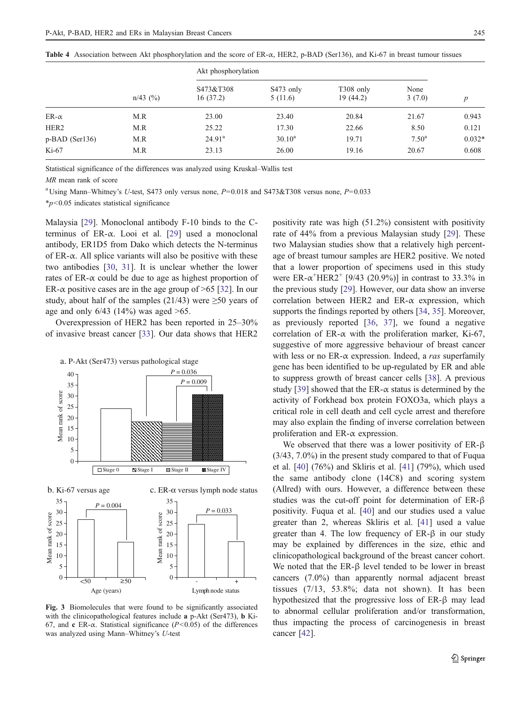<span id="page-6-0"></span>

| Table 4 Association between Akt phosphorylation and the score of $ER-\alpha$ , HER2, p-BAD (Ser136), and Ki-67 in breast tumour tissues |
|-----------------------------------------------------------------------------------------------------------------------------------------|
| Akt phosphorylation                                                                                                                     |

|                  | $n/43$ (%) | Akt phosphorylation   |                      |                        |                |          |
|------------------|------------|-----------------------|----------------------|------------------------|----------------|----------|
|                  |            | S473&T308<br>16(37.2) | S473 only<br>5(11.6) | T308 only<br>19 (44.2) | None<br>3(7.0) | p        |
| ER- $\alpha$     | M.R        | 23.00                 | 23.40                | 20.84                  | 21.67          | 0.943    |
| HER <sub>2</sub> | M.R        | 25.22                 | 17.30                | 22.66                  | 8.50           | 0.121    |
| p-BAD (Ser136)   | M.R        | $24.91^{\rm a}$       | $30.10^a$            | 19.71                  | $7.50^{\rm a}$ | $0.032*$ |
| $Ki-67$          | M.R        | 23.13                 | 26.00                | 19.16                  | 20.67          | 0.608    |

Statistical significance of the differences was analyzed using Kruskal–Wallis test

MR mean rank of score

<sup>a</sup> Using Mann–Whitney's U-test, S473 only versus none,  $P=0.018$  and S473&T308 versus none,  $P=0.033$ 

\*p<0.05 indicates statistical significance

Malaysia [\[29](#page-8-0)]. Monoclonal antibody F-10 binds to the Cterminus of ER-α. Looi et al. [\[29](#page-8-0)] used a monoclonal antibody, ER1D5 from Dako which detects the N-terminus of  $ER-\alpha$ . All splice variants will also be positive with these two antibodies [\[30](#page-8-0), [31\]](#page-8-0). It is unclear whether the lower rates of  $ER-\alpha$  could be due to age as highest proportion of ER- $\alpha$  positive cases are in the age group of  $\geq 65$  [[32\]](#page-8-0). In our study, about half of the samples (21/43) were  $\geq 50$  years of age and only  $6/43$  (14%) was aged  $>65$ .

Overexpression of HER2 has been reported in 25–30% of invasive breast cancer [\[33](#page-8-0)]. Our data shows that HER2



Fig. 3 Biomolecules that were found to be significantly associated with the clinicopathological features include a p-Akt (Ser473), b Ki-67, and c ER- $\alpha$ . Statistical significance (P<0.05) of the differences was analyzed using Mann–Whitney's U-test

positivity rate was high (51.2%) consistent with positivity rate of 44% from a previous Malaysian study [\[29](#page-8-0)]. These two Malaysian studies show that a relatively high percentage of breast tumour samples are HER2 positive. We noted that a lower proportion of specimens used in this study were  $ER-\alpha^+HER2^+$  [9/43 (20.9%)] in contrast to 33.3% in the previous study [\[29](#page-8-0)]. However, our data show an inverse correlation between HER2 and ER- $\alpha$  expression, which supports the findings reported by others [[34,](#page-8-0) [35\]](#page-8-0). Moreover, as previously reported [[36,](#page-8-0) [37](#page-8-0)], we found a negative correlation of ER- $\alpha$  with the proliferation marker, Ki-67, suggestive of more aggressive behaviour of breast cancer with less or no  $ER-\alpha$  expression. Indeed, a ras superfamily gene has been identified to be up-regulated by ER and able to suppress growth of breast cancer cells [[38\]](#page-9-0). A previous study [\[39](#page-9-0)] showed that the ER- $\alpha$  status is determined by the activity of Forkhead box protein FOXO3a, which plays a critical role in cell death and cell cycle arrest and therefore may also explain the finding of inverse correlation between proliferation and ER-α expression.

We observed that there was a lower positivity of ER-β (3/43, 7.0%) in the present study compared to that of Fuqua et al. [[40\]](#page-9-0) (76%) and Skliris et al. [\[41](#page-9-0)] (79%), which used the same antibody clone (14C8) and scoring system (Allred) with ours. However, a difference between these studies was the cut-off point for determination of ER-β positivity. Fuqua et al. [[40\]](#page-9-0) and our studies used a value greater than 2, whereas Skliris et al. [[41\]](#page-9-0) used a value greater than 4. The low frequency of  $ER-\beta$  in our study may be explained by differences in the size, ethic and clinicopathological background of the breast cancer cohort. We noted that the ER-β level tended to be lower in breast cancers (7.0%) than apparently normal adjacent breast tissues (7/13, 53.8%; data not shown). It has been hypothesized that the progressive loss of ER-β may lead to abnormal cellular proliferation and/or transformation, thus impacting the process of carcinogenesis in breast cancer [\[42](#page-9-0)].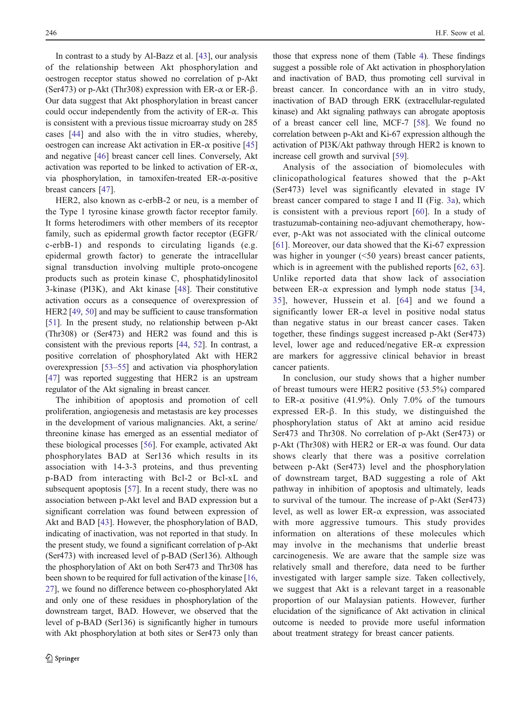In contrast to a study by Al-Bazz et al. [[43\]](#page-9-0), our analysis of the relationship between Akt phosphorylation and oestrogen receptor status showed no correlation of p-Akt (Ser473) or p-Akt (Thr308) expression with ER- $\alpha$  or ER- $\beta$ . Our data suggest that Akt phosphorylation in breast cancer could occur independently from the activity of ER-α. This is consistent with a previous tissue microarray study on 285 cases [\[44](#page-9-0)] and also with the in vitro studies, whereby, oestrogen can increase Akt activation in ER- $\alpha$  positive [[45\]](#page-9-0) and negative [[46\]](#page-9-0) breast cancer cell lines. Conversely, Akt activation was reported to be linked to activation of  $ER-\alpha$ , via phosphorylation, in tamoxifen-treated ER-α-positive breast cancers [[47\]](#page-9-0).

HER2, also known as c-erbB-2 or neu, is a member of the Type 1 tyrosine kinase growth factor receptor family. It forms heterodimers with other members of its receptor family, such as epidermal growth factor receptor (EGFR/ c-erbB-1) and responds to circulating ligands (e.g. epidermal growth factor) to generate the intracellular signal transduction involving multiple proto-oncogene products such as protein kinase C, phosphatidylinositol 3-kinase (PI3K), and Akt kinase [\[48\]](#page-9-0). Their constitutive activation occurs as a consequence of overexpression of HER2 [[49](#page-9-0), [50](#page-9-0)] and may be sufficient to cause transformation [\[51\]](#page-9-0). In the present study, no relationship between p-Akt (Thr308) or (Ser473) and HER2 was found and this is consistent with the previous reports [\[44,](#page-9-0) [52\]](#page-9-0). In contrast, a positive correlation of phosphorylated Akt with HER2 overexpression [\[53](#page-9-0)–[55\]](#page-9-0) and activation via phosphorylation [\[47\]](#page-9-0) was reported suggesting that HER2 is an upstream regulator of the Akt signaling in breast cancer.

The inhibition of apoptosis and promotion of cell proliferation, angiogenesis and metastasis are key processes in the development of various malignancies. Akt, a serine/ threonine kinase has emerged as an essential mediator of these biological processes [\[56](#page-9-0)]. For example, activated Akt phosphorylates BAD at Ser136 which results in its association with 14-3-3 proteins, and thus preventing p-BAD from interacting with Bcl-2 or Bcl-xL and subsequent apoptosis [\[57](#page-9-0)]. In a recent study, there was no association between p-Akt level and BAD expression but a significant correlation was found between expression of Akt and BAD [[43\]](#page-9-0). However, the phosphorylation of BAD, indicating of inactivation, was not reported in that study. In the present study, we found a significant correlation of p-Akt (Ser473) with increased level of p-BAD (Ser136). Although the phosphorylation of Akt on both Ser473 and Thr308 has been shown to be required for full activation of the kinase [[16,](#page-8-0) [27\]](#page-8-0), we found no difference between co-phosphorylated Akt and only one of these residues in phosphorylation of the downstream target, BAD. However, we observed that the level of p-BAD (Ser136) is significantly higher in tumours with Akt phosphorylation at both sites or Ser473 only than

those that express none of them (Table [4](#page-6-0)). These findings suggest a possible role of Akt activation in phosphorylation and inactivation of BAD, thus promoting cell survival in breast cancer. In concordance with an in vitro study, inactivation of BAD through ERK (extracellular-regulated kinase) and Akt signaling pathways can abrogate apoptosis of a breast cancer cell line, MCF-7 [\[58\]](#page-9-0). We found no correlation between p-Akt and Ki-67 expression although the activation of PI3K/Akt pathway through HER2 is known to increase cell growth and survival [\[59](#page-9-0)].

Analysis of the association of biomolecules with clinicopathological features showed that the p-Akt (Ser473) level was significantly elevated in stage IV breast cancer compared to stage I and II (Fig. [3a\)](#page-6-0), which is consistent with a previous report [\[60](#page-9-0)]. In a study of trastuzumab-containing neo-adjuvant chemotherapy, however, p-Akt was not associated with the clinical outcome [\[61\]](#page-9-0). Moreover, our data showed that the Ki-67 expression was higher in younger (<50 years) breast cancer patients, which is in agreement with the published reports [[62,](#page-9-0) [63](#page-9-0)]. Unlike reported data that show lack of association between ER- $\alpha$  expression and lymph node status [[34,](#page-8-0) [35\]](#page-8-0), however, Hussein et al. [\[64\]](#page-9-0) and we found a significantly lower  $ER-\alpha$  level in positive nodal status than negative status in our breast cancer cases. Taken together, these findings suggest increased p-Akt (Ser473) level, lower age and reduced/negative ER- $\alpha$  expression are markers for aggressive clinical behavior in breast cancer patients.

In conclusion, our study shows that a higher number of breast tumours were HER2 positive (53.5%) compared to ER- $\alpha$  positive (41.9%). Only 7.0% of the tumours expressed ER-β. In this study, we distinguished the phosphorylation status of Akt at amino acid residue Ser473 and Thr308. No correlation of p-Akt (Ser473) or p-Akt (Thr308) with HER2 or ER-α was found. Our data shows clearly that there was a positive correlation between p-Akt (Ser473) level and the phosphorylation of downstream target, BAD suggesting a role of Akt pathway in inhibition of apoptosis and ultimately, leads to survival of the tumour. The increase of p-Akt (Ser473) level, as well as lower ER- $\alpha$  expression, was associated with more aggressive tumours. This study provides information on alterations of these molecules which may involve in the mechanisms that underlie breast carcinogenesis. We are aware that the sample size was relatively small and therefore, data need to be further investigated with larger sample size. Taken collectively, we suggest that Akt is a relevant target in a reasonable proportion of our Malaysian patients. However, further elucidation of the significance of Akt activation in clinical outcome is needed to provide more useful information about treatment strategy for breast cancer patients.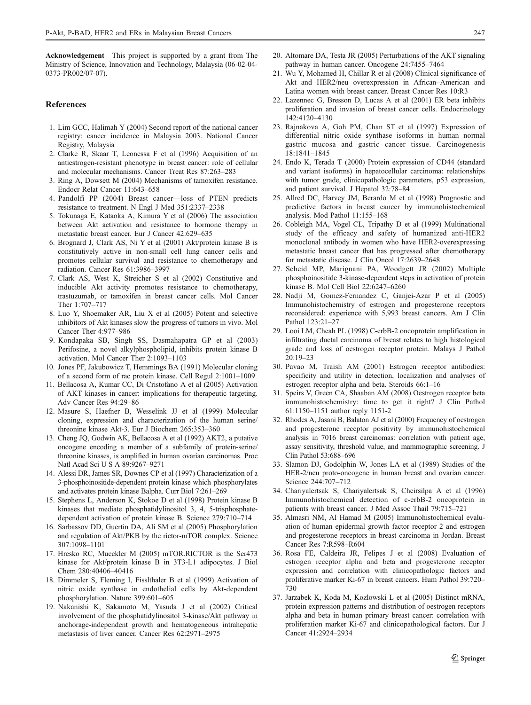<span id="page-8-0"></span>Acknowledgement This project is supported by a grant from The Ministry of Science, Innovation and Technology, Malaysia (06-02-04- 0373-PR002/07-07).

#### References

- 1. Lim GCC, Halimah Y (2004) Second report of the national cancer registry: cancer incidence in Malaysia 2003. National Cancer Registry, Malaysia
- 2. Clarke R, Skaar T, Leonessa F et al (1996) Acquisition of an antiestrogen-resistant phenotype in breast cancer: role of cellular and molecular mechanisms. Cancer Treat Res 87:263–283
- 3. Ring A, Dowsett M (2004) Mechanisms of tamoxifen resistance. Endocr Relat Cancer 11:643–658
- 4. Pandolfi PP (2004) Breast cancer—loss of PTEN predicts resistance to treatment. N Engl J Med 351:2337–2338
- 5. Tokunaga E, Kataoka A, Kimura Y et al (2006) The association between Akt activation and resistance to hormone therapy in metastatic breast cancer. Eur J Cancer 42:629–635
- 6. Brognard J, Clark AS, Ni Y et al (2001) Akt/protein kinase B is constitutively active in non-small cell lung cancer cells and promotes cellular survival and resistance to chemotherapy and radiation. Cancer Res 61:3986–3997
- 7. Clark AS, West K, Streicher S et al (2002) Constitutive and inducible Akt activity promotes resistance to chemotherapy, trastuzumab, or tamoxifen in breast cancer cells. Mol Cancer Ther 1:707–717
- 8. Luo Y, Shoemaker AR, Liu X et al (2005) Potent and selective inhibitors of Akt kinases slow the progress of tumors in vivo. Mol Cancer Ther 4:977–986
- 9. Kondapaka SB, Singh SS, Dasmahapatra GP et al (2003) Perifosine, a novel alkylphospholipid, inhibits protein kinase B activation. Mol Cancer Ther 2:1093–1103
- 10. Jones PF, Jakubowicz T, Hemmings BA (1991) Molecular cloning of a second form of rac protein kinase. Cell Regul 2:1001–1009
- 11. Bellacosa A, Kumar CC, Di Cristofano A et al (2005) Activation of AKT kinases in cancer: implications for therapeutic targeting. Adv Cancer Res 94:29–86
- 12. Masure S, Haefner B, Wesselink JJ et al (1999) Molecular cloning, expression and characterization of the human serine/ threonine kinase Akt-3. Eur J Biochem 265:353–360
- 13. Cheng JQ, Godwin AK, Bellacosa A et al (1992) AKT2, a putative oncogene encoding a member of a subfamily of protein-serine/ threonine kinases, is amplified in human ovarian carcinomas. Proc Natl Acad Sci U S A 89:9267–9271
- 14. Alessi DR, James SR, Downes CP et al (1997) Characterization of a 3-phosphoinositide-dependent protein kinase which phosphorylates and activates protein kinase Balpha. Curr Biol 7:261–269
- 15. Stephens L, Anderson K, Stokoe D et al (1998) Protein kinase B kinases that mediate phosphatidylinositol 3, 4, 5-trisphosphatedependent activation of protein kinase B. Science 279:710–714
- 16. Sarbassov DD, Guertin DA, Ali SM et al (2005) Phosphorylation and regulation of Akt/PKB by the rictor-mTOR complex. Science 307:1098–1101
- 17. Hresko RC, Mueckler M (2005) mTOR.RICTOR is the Ser473 kinase for Akt/protein kinase B in 3T3-L1 adipocytes. J Biol Chem 280:40406–40416
- 18. Dimmeler S, Fleming I, Fisslthaler B et al (1999) Activation of nitric oxide synthase in endothelial cells by Akt-dependent phosphorylation. Nature 399:601–605
- 19. Nakanishi K, Sakamoto M, Yasuda J et al (2002) Critical involvement of the phosphatidylinositol 3-kinase/Akt pathway in anchorage-independent growth and hematogeneous intrahepatic metastasis of liver cancer. Cancer Res 62:2971–2975
- 20. Altomare DA, Testa JR (2005) Perturbations of the AKT signaling pathway in human cancer. Oncogene 24:7455–7464
- 21. Wu Y, Mohamed H, Chillar R et al (2008) Clinical significance of Akt and HER2/neu overexpression in African–American and Latina women with breast cancer. Breast Cancer Res 10:R3
- 22. Lazennec G, Bresson D, Lucas A et al (2001) ER beta inhibits proliferation and invasion of breast cancer cells. Endocrinology 142:4120–4130
- 23. Rajnakova A, Goh PM, Chan ST et al (1997) Expression of differential nitric oxide synthase isoforms in human normal gastric mucosa and gastric cancer tissue. Carcinogenesis 18:1841–1845
- 24. Endo K, Terada T (2000) Protein expression of CD44 (standard and variant isoforms) in hepatocellular carcinoma: relationships with tumor grade, clinicopathologic parameters, p53 expression, and patient survival. J Hepatol 32:78–84
- 25. Allred DC, Harvey JM, Berardo M et al (1998) Prognostic and predictive factors in breast cancer by immunohistochemical analysis. Mod Pathol 11:155–168
- 26. Cobleigh MA, Vogel CL, Tripathy D et al (1999) Multinational study of the efficacy and safety of humanized anti-HER2 monoclonal antibody in women who have HER2-overexpressing metastatic breast cancer that has progressed after chemotherapy for metastatic disease. J Clin Oncol 17:2639–2648
- 27. Scheid MP, Marignani PA, Woodgett JR (2002) Multiple phosphoinositide 3-kinase-dependent steps in activation of protein kinase B. Mol Cell Biol 22:6247–6260
- 28. Nadji M, Gomez-Fernandez C, Ganjei-Azar P et al (2005) Immunohistochemistry of estrogen and progesterone receptors reconsidered: experience with 5,993 breast cancers. Am J Clin Pathol 123:21–27
- 29. Looi LM, Cheah PL (1998) C-erbB-2 oncoprotein amplification in infiltrating ductal carcinoma of breast relates to high histological grade and loss of oestrogen receptor protein. Malays J Pathol  $20:19-23$
- 30. Pavao M, Traish AM (2001) Estrogen receptor antibodies: specificity and utility in detection, localization and analyses of estrogen receptor alpha and beta. Steroids 66:1–16
- 31. Speirs V, Green CA, Shaaban AM (2008) Oestrogen receptor beta immunohistochemistry: time to get it right? J Clin Pathol 61:1150–1151 author reply 1151-2
- 32. Rhodes A, Jasani B, Balaton AJ et al (2000) Frequency of oestrogen and progesterone receptor positivity by immunohistochemical analysis in 7016 breast carcinomas: correlation with patient age, assay sensitivity, threshold value, and mammographic screening. J Clin Pathol 53:688–696
- 33. Slamon DJ, Godolphin W, Jones LA et al (1989) Studies of the HER-2/neu proto-oncogene in human breast and ovarian cancer. Science 244:707–712
- 34. Chariyalertsak S, Chariyalertsak S, Cheirsilpa A et al (1996) Immunohistochemical detection of c-erbB-2 oncoprotein in patients with breast cancer. J Med Assoc Thail 79:715–721
- 35. Almasri NM, Al Hamad M (2005) Immunohistochemical evaluation of human epidermal growth factor receptor 2 and estrogen and progesterone receptors in breast carcinoma in Jordan. Breast Cancer Res 7:R598–R604
- 36. Rosa FE, Caldeira JR, Felipes J et al (2008) Evaluation of estrogen receptor alpha and beta and progesterone receptor expression and correlation with clinicopathologic factors and proliferative marker Ki-67 in breast cancers. Hum Pathol 39:720– 730
- 37. Jarzabek K, Koda M, Kozlowski L et al (2005) Distinct mRNA, protein expression patterns and distribution of oestrogen receptors alpha and beta in human primary breast cancer: correlation with proliferation marker Ki-67 and clinicopathological factors. Eur J Cancer 41:2924–2934